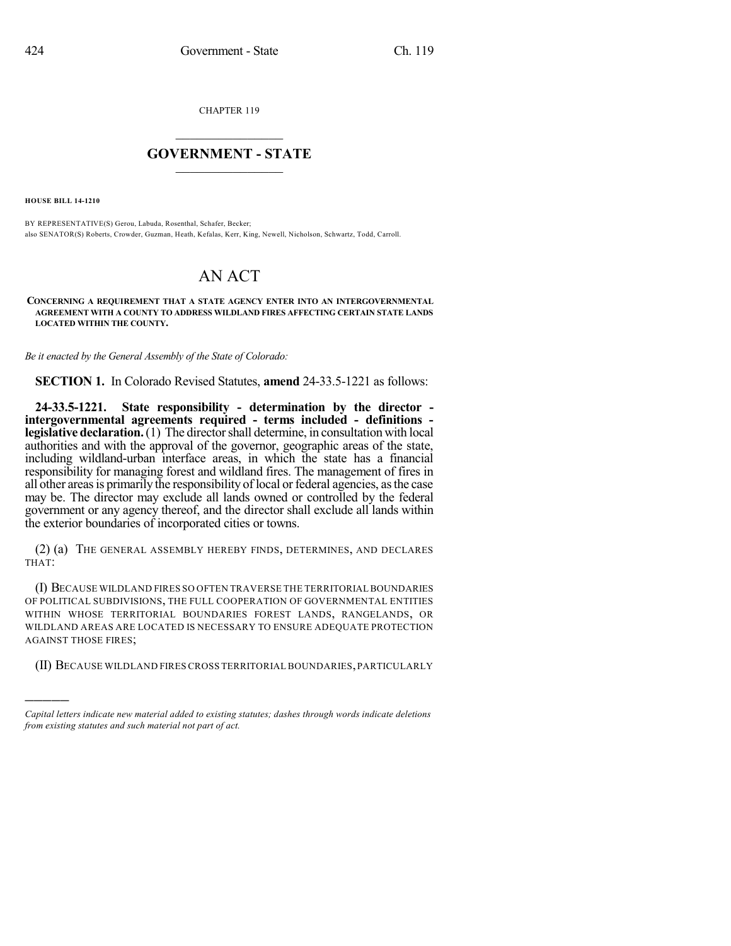CHAPTER 119

## $\mathcal{L}_\text{max}$  . The set of the set of the set of the set of the set of the set of the set of the set of the set of the set of the set of the set of the set of the set of the set of the set of the set of the set of the set **GOVERNMENT - STATE**  $\_$   $\_$   $\_$   $\_$   $\_$   $\_$   $\_$   $\_$   $\_$

**HOUSE BILL 14-1210**

)))))

BY REPRESENTATIVE(S) Gerou, Labuda, Rosenthal, Schafer, Becker; also SENATOR(S) Roberts, Crowder, Guzman, Heath, Kefalas, Kerr, King, Newell, Nicholson, Schwartz, Todd, Carroll.

## AN ACT

**CONCERNING A REQUIREMENT THAT A STATE AGENCY ENTER INTO AN INTERGOVERNMENTAL AGREEMENT WITH A COUNTY TO ADDRESS WILDLAND FIRES AFFECTING CERTAIN STATE LANDS LOCATED WITHIN THE COUNTY.**

*Be it enacted by the General Assembly of the State of Colorado:*

**SECTION 1.** In Colorado Revised Statutes, **amend** 24-33.5-1221 as follows:

**24-33.5-1221. State responsibility - determination by the director intergovernmental agreements required - terms included - definitions legislative declaration.**(1) The directorshall determine, in consultation with local authorities and with the approval of the governor, geographic areas of the state, including wildland-urban interface areas, in which the state has a financial responsibility for managing forest and wildland fires. The management of fires in all other areas is primarily the responsibility of local or federal agencies, as the case may be. The director may exclude all lands owned or controlled by the federal government or any agency thereof, and the director shall exclude all lands within the exterior boundaries of incorporated cities or towns.

(2) (a) THE GENERAL ASSEMBLY HEREBY FINDS, DETERMINES, AND DECLARES THAT:

(I) BECAUSE WILDLAND FIRES SO OFTEN TRAVERSE THE TERRITORIAL BOUNDARIES OF POLITICAL SUBDIVISIONS, THE FULL COOPERATION OF GOVERNMENTAL ENTITIES WITHIN WHOSE TERRITORIAL BOUNDARIES FOREST LANDS, RANGELANDS, OR WILDLAND AREAS ARE LOCATED IS NECESSARY TO ENSURE ADEQUATE PROTECTION AGAINST THOSE FIRES;

(II) BECAUSE WILDLAND FIRES CROSS TERRITORIAL BOUNDARIES,PARTICULARLY

*Capital letters indicate new material added to existing statutes; dashes through words indicate deletions from existing statutes and such material not part of act.*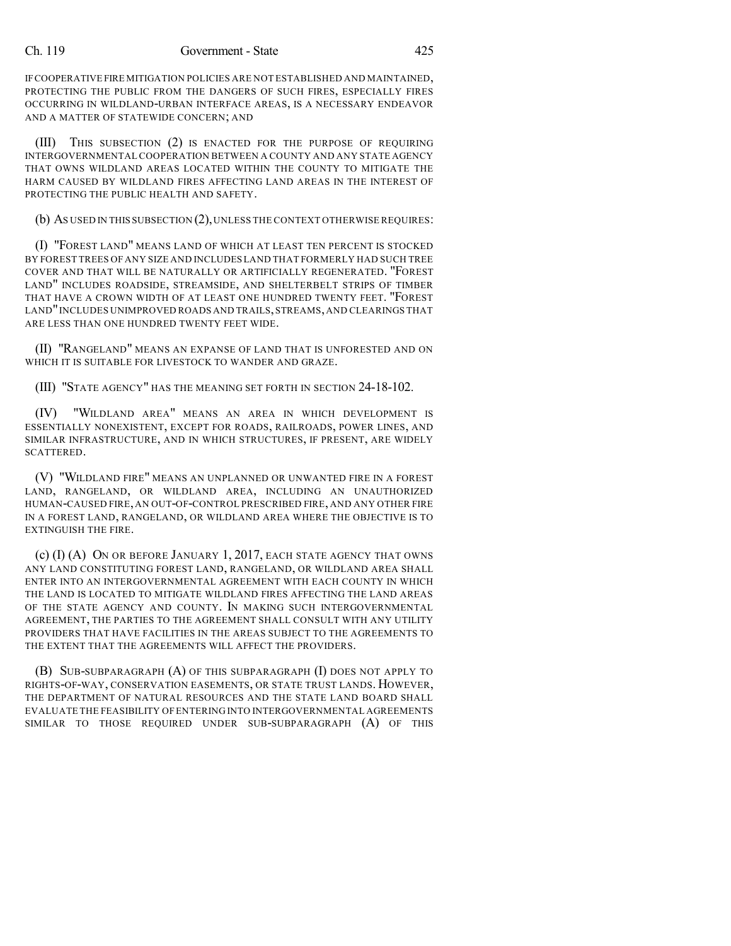## Ch. 119 Government - State 425

IFCOOPERATIVE FIRE MITIGATION POLICIES ARE NOT ESTABLISHED AND MAINTAINED, PROTECTING THE PUBLIC FROM THE DANGERS OF SUCH FIRES, ESPECIALLY FIRES OCCURRING IN WILDLAND-URBAN INTERFACE AREAS, IS A NECESSARY ENDEAVOR AND A MATTER OF STATEWIDE CONCERN; AND

(III) THIS SUBSECTION (2) IS ENACTED FOR THE PURPOSE OF REQUIRING INTERGOVERNMENTAL COOPERATION BETWEEN A COUNTY AND ANY STATE AGENCY THAT OWNS WILDLAND AREAS LOCATED WITHIN THE COUNTY TO MITIGATE THE HARM CAUSED BY WILDLAND FIRES AFFECTING LAND AREAS IN THE INTEREST OF PROTECTING THE PUBLIC HEALTH AND SAFETY.

(b) AS USED IN THIS SUBSECTION (2),UNLESS THE CONTEXT OTHERWISE REQUIRES:

(I) "FOREST LAND" MEANS LAND OF WHICH AT LEAST TEN PERCENT IS STOCKED BY FOREST TREES OF ANY SIZE AND INCLUDES LAND THAT FORMERLY HAD SUCH TREE COVER AND THAT WILL BE NATURALLY OR ARTIFICIALLY REGENERATED. "FOREST LAND" INCLUDES ROADSIDE, STREAMSIDE, AND SHELTERBELT STRIPS OF TIMBER THAT HAVE A CROWN WIDTH OF AT LEAST ONE HUNDRED TWENTY FEET. "FOREST LAND"INCLUDES UNIMPROVED ROADS AND TRAILS,STREAMS,AND CLEARINGS THAT ARE LESS THAN ONE HUNDRED TWENTY FEET WIDE.

(II) "RANGELAND" MEANS AN EXPANSE OF LAND THAT IS UNFORESTED AND ON WHICH IT IS SUITABLE FOR LIVESTOCK TO WANDER AND GRAZE.

(III) "STATE AGENCY" HAS THE MEANING SET FORTH IN SECTION 24-18-102.

(IV) "WILDLAND AREA" MEANS AN AREA IN WHICH DEVELOPMENT IS ESSENTIALLY NONEXISTENT, EXCEPT FOR ROADS, RAILROADS, POWER LINES, AND SIMILAR INFRASTRUCTURE, AND IN WHICH STRUCTURES, IF PRESENT, ARE WIDELY SCATTERED.

(V) "WILDLAND FIRE" MEANS AN UNPLANNED OR UNWANTED FIRE IN A FOREST LAND, RANGELAND, OR WILDLAND AREA, INCLUDING AN UNAUTHORIZED HUMAN-CAUSED FIRE, AN OUT-OF-CONTROL PRESCRIBED FIRE, AND ANY OTHER FIRE IN A FOREST LAND, RANGELAND, OR WILDLAND AREA WHERE THE OBJECTIVE IS TO EXTINGUISH THE FIRE.

(c) (I) (A) ON OR BEFORE JANUARY 1, 2017, EACH STATE AGENCY THAT OWNS ANY LAND CONSTITUTING FOREST LAND, RANGELAND, OR WILDLAND AREA SHALL ENTER INTO AN INTERGOVERNMENTAL AGREEMENT WITH EACH COUNTY IN WHICH THE LAND IS LOCATED TO MITIGATE WILDLAND FIRES AFFECTING THE LAND AREAS OF THE STATE AGENCY AND COUNTY. IN MAKING SUCH INTERGOVERNMENTAL AGREEMENT, THE PARTIES TO THE AGREEMENT SHALL CONSULT WITH ANY UTILITY PROVIDERS THAT HAVE FACILITIES IN THE AREAS SUBJECT TO THE AGREEMENTS TO THE EXTENT THAT THE AGREEMENTS WILL AFFECT THE PROVIDERS.

(B) SUB-SUBPARAGRAPH (A) OF THIS SUBPARAGRAPH (I) DOES NOT APPLY TO RIGHTS-OF-WAY, CONSERVATION EASEMENTS, OR STATE TRUST LANDS. HOWEVER, THE DEPARTMENT OF NATURAL RESOURCES AND THE STATE LAND BOARD SHALL EVALUATE THE FEASIBILITY OFENTERING INTO INTERGOVERNMENTAL AGREEMENTS SIMILAR TO THOSE REQUIRED UNDER SUB-SUBPARAGRAPH (A) OF THIS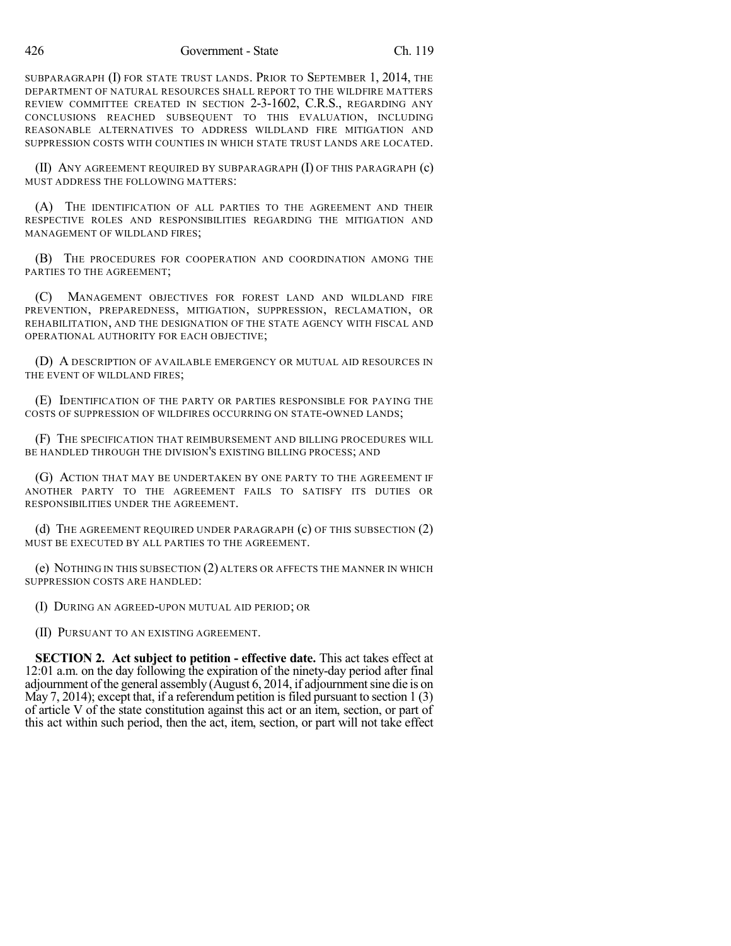426 Government - State Ch. 119

SUBPARAGRAPH (I) FOR STATE TRUST LANDS. PRIOR TO SEPTEMBER 1, 2014, THE DEPARTMENT OF NATURAL RESOURCES SHALL REPORT TO THE WILDFIRE MATTERS REVIEW COMMITTEE CREATED IN SECTION 2-3-1602, C.R.S., REGARDING ANY CONCLUSIONS REACHED SUBSEQUENT TO THIS EVALUATION, INCLUDING REASONABLE ALTERNATIVES TO ADDRESS WILDLAND FIRE MITIGATION AND SUPPRESSION COSTS WITH COUNTIES IN WHICH STATE TRUST LANDS ARE LOCATED.

(II) ANY AGREEMENT REQUIRED BY SUBPARAGRAPH (I) OF THIS PARAGRAPH (c) MUST ADDRESS THE FOLLOWING MATTERS:

(A) THE IDENTIFICATION OF ALL PARTIES TO THE AGREEMENT AND THEIR RESPECTIVE ROLES AND RESPONSIBILITIES REGARDING THE MITIGATION AND MANAGEMENT OF WILDLAND FIRES;

(B) THE PROCEDURES FOR COOPERATION AND COORDINATION AMONG THE PARTIES TO THE AGREEMENT;

(C) MANAGEMENT OBJECTIVES FOR FOREST LAND AND WILDLAND FIRE PREVENTION, PREPAREDNESS, MITIGATION, SUPPRESSION, RECLAMATION, OR REHABILITATION, AND THE DESIGNATION OF THE STATE AGENCY WITH FISCAL AND OPERATIONAL AUTHORITY FOR EACH OBJECTIVE;

(D) A DESCRIPTION OF AVAILABLE EMERGENCY OR MUTUAL AID RESOURCES IN THE EVENT OF WILDLAND FIRES;

(E) IDENTIFICATION OF THE PARTY OR PARTIES RESPONSIBLE FOR PAYING THE COSTS OF SUPPRESSION OF WILDFIRES OCCURRING ON STATE-OWNED LANDS;

(F) THE SPECIFICATION THAT REIMBURSEMENT AND BILLING PROCEDURES WILL BE HANDLED THROUGH THE DIVISION'S EXISTING BILLING PROCESS; AND

(G) ACTION THAT MAY BE UNDERTAKEN BY ONE PARTY TO THE AGREEMENT IF ANOTHER PARTY TO THE AGREEMENT FAILS TO SATISFY ITS DUTIES OR RESPONSIBILITIES UNDER THE AGREEMENT.

(d) THE AGREEMENT REQUIRED UNDER PARAGRAPH (c) OF THIS SUBSECTION (2) MUST BE EXECUTED BY ALL PARTIES TO THE AGREEMENT.

(e) NOTHING IN THIS SUBSECTION (2) ALTERS OR AFFECTS THE MANNER IN WHICH SUPPRESSION COSTS ARE HANDLED:

(I) DURING AN AGREED-UPON MUTUAL AID PERIOD; OR

(II) PURSUANT TO AN EXISTING AGREEMENT.

**SECTION 2. Act subject to petition - effective date.** This act takes effect at 12:01 a.m. on the day following the expiration of the ninety-day period after final adjournment of the general assembly (August 6, 2014, if adjournment sine die is on May 7, 2014); except that, if a referendum petition is filed pursuant to section  $1(3)$ of article V of the state constitution against this act or an item, section, or part of this act within such period, then the act, item, section, or part will not take effect